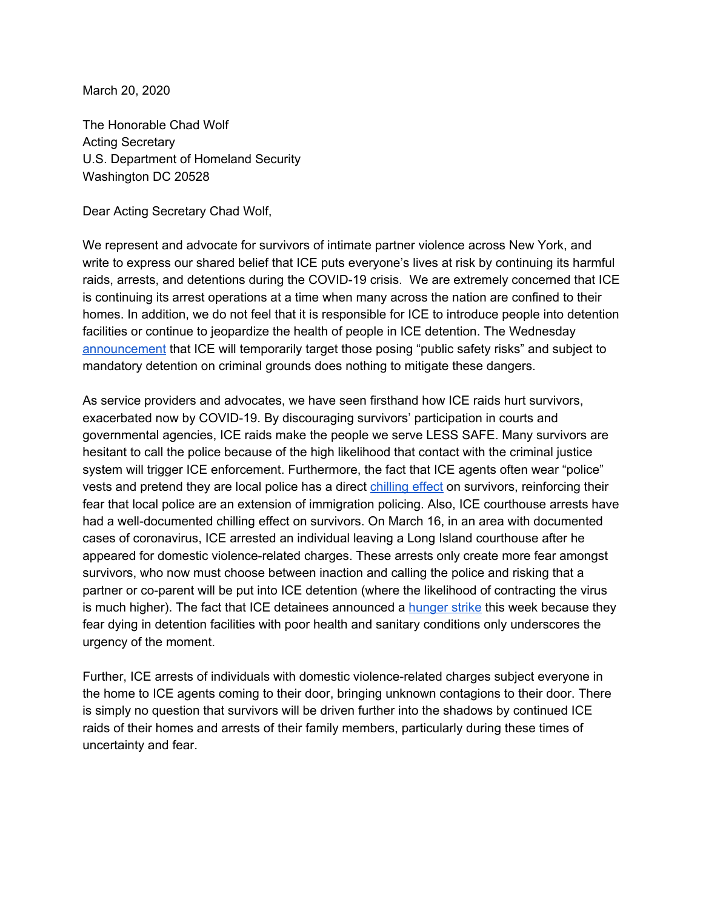March 20, 2020

The Honorable Chad Wolf Acting Secretary U.S. Department of Homeland Security Washington DC 20528

Dear Acting Secretary Chad Wolf,

We represent and advocate for survivors of intimate partner violence across New York, and write to express our shared belief that ICE puts everyone's lives at risk by continuing its harmful raids, arrests, and detentions during the COVID-19 crisis. We are extremely concerned that ICE is continuing its arrest operations at a time when many across the nation are confined to their homes. In addition, we do not feel that it is responsible for ICE to introduce people into detention facilities or continue to jeopardize the health of people in ICE detention. The Wednesday [announcement](https://www.ice.gov/news/releases/updated-ice-statement-covid-19) that ICE will temporarily target those posing "public safety risks" and subject to mandatory detention on criminal grounds does nothing to mitigate these dangers.

As service providers and advocates, we have seen firsthand how ICE raids hurt survivors, exacerbated now by COVID-19. By discouraging survivors' participation in courts and governmental agencies, ICE raids make the people we serve LESS SAFE. Many survivors are hesitant to call the police because of the high likelihood that contact with the criminal justice system will trigger ICE enforcement. Furthermore, the fact that ICE agents often wear "police" vests and pretend they are local police has a direct [chilling](https://www.immigrantdefenseproject.org/wp-content/uploads/ice.report.exec_summ.5nov2019.pdf) effect on survivors, reinforcing their fear that local police are an extension of immigration policing. Also, ICE courthouse arrests have had a well-documented chilling effect on survivors. On March 16, in an area with documented cases of coronavirus, ICE arrested an individual leaving a Long Island courthouse after he appeared for domestic violence-related charges. These arrests only create more fear amongst survivors, who now must choose between inaction and calling the police and risking that a partner or co-parent will be put into ICE detention (where the likelihood of contracting the virus is much higher). The fact that ICE detainees announced a [hunger](https://gothamist.com/news/covid-19-ice-immigration-hunger-strike-jail) strike this week because they fear dying in detention facilities with poor health and sanitary conditions only underscores the urgency of the moment.

Further, ICE arrests of individuals with domestic violence-related charges subject everyone in the home to ICE agents coming to their door, bringing unknown contagions to their door. There is simply no question that survivors will be driven further into the shadows by continued ICE raids of their homes and arrests of their family members, particularly during these times of uncertainty and fear.